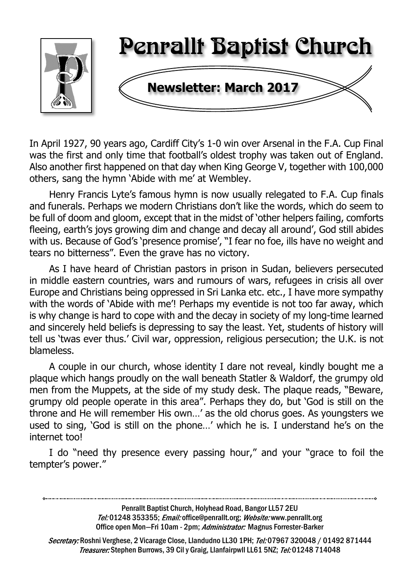

In April 1927, 90 years ago, Cardiff City's 1-0 win over Arsenal in the F.A. Cup Final was the first and only time that football's oldest trophy was taken out of England. Also another first happened on that day when King George V, together with 100,000 others, sang the hymn 'Abide with me' at Wembley.

Henry Francis Lyte's famous hymn is now usually relegated to F.A. Cup finals and funerals. Perhaps we modern Christians don't like the words, which do seem to be full of doom and gloom, except that in the midst of 'other helpers failing, comforts fleeing, earth's joys growing dim and change and decay all around', God still abides with us. Because of God's 'presence promise', "I fear no foe, ills have no weight and tears no bitterness". Even the grave has no victory.

As I have heard of Christian pastors in prison in Sudan, believers persecuted in middle eastern countries, wars and rumours of wars, refugees in crisis all over Europe and Christians being oppressed in Sri Lanka etc. etc., I have more sympathy with the words of 'Abide with me'! Perhaps my eventide is not too far away, which is why change is hard to cope with and the decay in society of my long-time learned and sincerely held beliefs is depressing to say the least. Yet, students of history will tell us 'twas ever thus.' Civil war, oppression, religious persecution; the U.K. is not blameless.

A couple in our church, whose identity I dare not reveal, kindly bought me a plaque which hangs proudly on the wall beneath Statler & Waldorf, the grumpy old men from the Muppets, at the side of my study desk. The plaque reads, "Beware, grumpy old people operate in this area". Perhaps they do, but 'God is still on the throne and He will remember His own…' as the old chorus goes. As youngsters we used to sing, 'God is still on the phone…' which he is. I understand he's on the internet too!

I do "need thy presence every passing hour," and your "grace to foil the tempter's power."

Penrallt Baptist Church, Holyhead Road, Bangor LL57 2EU

Tel:01248 353355; Email: office@penrallt.org; Website: www.penrallt.org Office open Mon-Fri 10am - 2pm; Administrator: Magnus Forrester-Barker

Secretary: Roshni Verghese, 2 Vicarage Close, Llandudno LL30 1PH; Tel: 07967 320048 / 01492 871444 Treasurer: Stephen Burrows, 39 Cil y Graig, Llanfairpwll LL61 5NZ; Tel: 01248 714048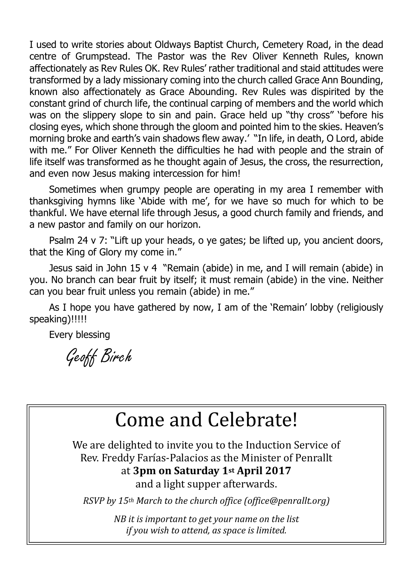I used to write stories about Oldways Baptist Church, Cemetery Road, in the dead centre of Grumpstead. The Pastor was the Rev Oliver Kenneth Rules, known affectionately as Rev Rules OK. Rev Rules' rather traditional and staid attitudes were transformed by a lady missionary coming into the church called Grace Ann Bounding, known also affectionately as Grace Abounding. Rev Rules was dispirited by the constant grind of church life, the continual carping of members and the world which was on the slippery slope to sin and pain. Grace held up "thy cross" 'before his closing eyes, which shone through the gloom and pointed him to the skies. Heaven's morning broke and earth's vain shadows flew away.' "In life, in death, O Lord, abide with me." For Oliver Kenneth the difficulties he had with people and the strain of life itself was transformed as he thought again of Jesus, the cross, the resurrection, and even now Jesus making intercession for him!

Sometimes when grumpy people are operating in my area I remember with thanksgiving hymns like 'Abide with me', for we have so much for which to be thankful. We have eternal life through Jesus, a good church family and friends, and a new pastor and family on our horizon.

Psalm 24 v 7: "Lift up your heads, o ye gates; be lifted up, you ancient doors, that the King of Glory my come in."

Jesus said in John 15 v 4 "Remain (abide) in me, and I will remain (abide) in you. No branch can bear fruit by itself; it must remain (abide) in the vine. Neither can you bear fruit unless you remain (abide) in me."

As I hope you have gathered by now, I am of the 'Remain' lobby (religiously speaking)!!!!!

Every blessing

Geoff Birch

# Come and Celebrate!

We are delighted to invite you to the Induction Service of Rev. Freddy Farías-Palacios as the Minister of Penrallt at **3pm on Saturday 1st April 2017** and a light supper afterwards.

*RSVP by 15th March to the church office (office@penrallt.org)*

*NB it is important to get your name on the list if you wish to attend, as space is limited.*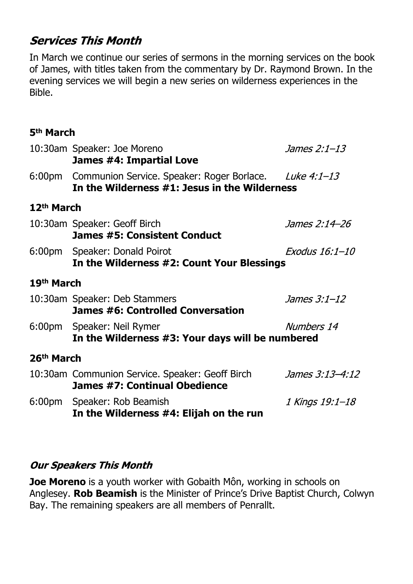### **Services This Month**

In March we continue our series of sermons in the morning services on the book of James, with titles taken from the commentary by Dr. Raymond Brown. In the evening services we will begin a new series on wilderness experiences in the Bible.

#### **5th March**

| 10:30am Speaker: Joe Moreno<br>James #4: Impartial Love                                       | James 2:1-13                                                                                                                                                       |  |  |
|-----------------------------------------------------------------------------------------------|--------------------------------------------------------------------------------------------------------------------------------------------------------------------|--|--|
| 6:00pm Communion Service. Speaker: Roger Borlace. Luke 4:1-13                                 |                                                                                                                                                                    |  |  |
| 12 <sup>th</sup> March                                                                        |                                                                                                                                                                    |  |  |
| James 2:14–26<br><b>James #5: Consistent Conduct</b>                                          |                                                                                                                                                                    |  |  |
| Exodus 16:1-10<br>6:00pm Speaker: Donald Poirot<br>In the Wilderness #2: Count Your Blessings |                                                                                                                                                                    |  |  |
| 19th March                                                                                    |                                                                                                                                                                    |  |  |
| James 3:1-12<br>James #6: Controlled Conversation                                             |                                                                                                                                                                    |  |  |
| 6:00pm Speaker: Neil Rymer                                                                    | Numbers 14                                                                                                                                                         |  |  |
| 26th March                                                                                    |                                                                                                                                                                    |  |  |
| 10:30am Communion Service. Speaker: Geoff Birch<br>James #7: Continual Obedience              | James 3:13-4:12                                                                                                                                                    |  |  |
| 6:00pm Speaker: Rob Beamish<br>In the Wilderness #4: Elijah on the run                        | 1 Kings 19:1-18                                                                                                                                                    |  |  |
|                                                                                               | In the Wilderness #1: Jesus in the Wilderness<br>10:30am Speaker: Geoff Birch<br>10:30am Speaker: Deb Stammers<br>In the Wilderness #3: Your days will be numbered |  |  |

#### **Our Speakers This Month**

**Joe Moreno** is a youth worker with Gobaith Môn, working in schools on Anglesey. **Rob Beamish** is the Minister of Prince's Drive Baptist Church, Colwyn Bay. The remaining speakers are all members of Penrallt.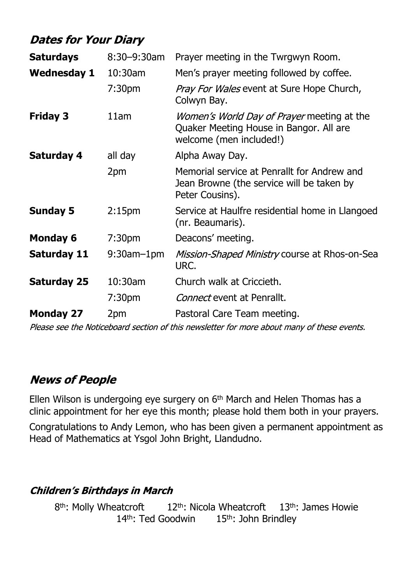### **Dates for Your Diary**

| <b>Saturdays</b>   | 8:30-9:30am        | Prayer meeting in the Twrgwyn Room.                                                                                     |  |
|--------------------|--------------------|-------------------------------------------------------------------------------------------------------------------------|--|
| <b>Wednesday 1</b> | 10:30am            | Men's prayer meeting followed by coffee.                                                                                |  |
|                    | 7:30 <sub>pm</sub> | <i>Pray For Wales</i> event at Sure Hope Church,<br>Colwyn Bay.                                                         |  |
| <b>Friday 3</b>    | 11am               | <i>Women's World Day of Prayer</i> meeting at the<br>Quaker Meeting House in Bangor. All are<br>welcome (men included!) |  |
| <b>Saturday 4</b>  | all day            | Alpha Away Day.                                                                                                         |  |
|                    | 2pm                | Memorial service at Penrallt for Andrew and<br>Jean Browne (the service will be taken by<br>Peter Cousins).             |  |
| <b>Sunday 5</b>    | 2:15 <sub>pm</sub> | Service at Haulfre residential home in Llangoed<br>(nr. Beaumaris).                                                     |  |
| <b>Monday 6</b>    | 7:30 <sub>pm</sub> | Deacons' meeting.                                                                                                       |  |
| Saturday 11        | $9:30$ am $-1$ pm  | Mission-Shaped Ministry course at Rhos-on-Sea<br>URC.                                                                   |  |
| <b>Saturday 25</b> | 10:30am            | Church walk at Criccieth.                                                                                               |  |
|                    | 7:30 <sub>pm</sub> | <i>Connect</i> event at Penrallt.                                                                                       |  |
| <b>Monday 27</b>   | 2pm                | Pastoral Care Team meeting.                                                                                             |  |

Please see the Noticeboard section of this newsletter for more about many of these events.

### **News of People**

Ellen Wilson is undergoing eye surgery on  $6<sup>th</sup>$  March and Helen Thomas has a clinic appointment for her eye this month; please hold them both in your prayers.

Congratulations to Andy Lemon, who has been given a permanent appointment as Head of Mathematics at Ysgol John Bright, Llandudno.

#### **Children's Birthdays in March**

8<sup>th</sup>: Molly Wheatcroft  $12<sup>th</sup>$ : Nicola Wheatcroft  $13<sup>th</sup>$ : James Howie 14<sup>th</sup>: Ted Goodwin 15<sup>th</sup>: John Brindley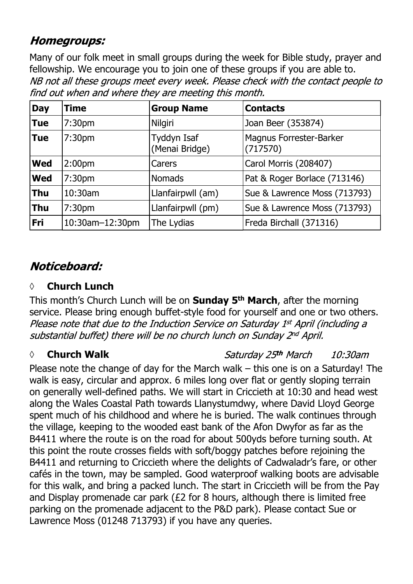### **Homegroups:**

Many of our folk meet in small groups during the week for Bible study, prayer and fellowship. We encourage you to join one of these groups if you are able to.NB not all these groups meet every week. Please check with the contact people to find out when and where they are meeting this month.

| <b>Day</b> | Time               | <b>Group Name</b>             | <b>Contacts</b>                     |
|------------|--------------------|-------------------------------|-------------------------------------|
| <b>Tue</b> | 7:30 <sub>pm</sub> | Nilgiri                       | Joan Beer (353874)                  |
| <b>Tue</b> | 7:30 <sub>pm</sub> | Tyddyn Isaf<br>(Menai Bridge) | Magnus Forrester-Barker<br>(717570) |
| <b>Wed</b> | 2:00 <sub>pm</sub> | Carers                        | Carol Morris (208407)               |
| <b>Wed</b> | 7:30pm             | <b>Nomads</b>                 | Pat & Roger Borlace (713146)        |
| <b>Thu</b> | 10:30am            | Llanfairpwll (am)             | Sue & Lawrence Moss (713793)        |
| <b>Thu</b> | 7:30pm             | Llanfairpwll (pm)             | Sue & Lawrence Moss (713793)        |
| Fri        | 10:30am-12:30pm    | The Lydias                    | Freda Birchall (371316)             |

### Noticeboard:

### **◊ Church Lunch**

This month's Church Lunch will be on **Sunday 5th March**, after the morning service. Please bring enough buffet-style food for yourself and one or two others. Please note that due to the Induction Service on Saturday 1st April (including a substantial buffet) there will be no church lunch on Sunday 2nd April.

#### *◊* **Church Walk**

Saturday 25th March 10:30am

Please note the change of day for the March walk – this one is on a Saturday! The walk is easy, circular and approx. 6 miles long over flat or gently sloping terrain on generally well-defined paths. We will start in Criccieth at 10:30 and head west along the Wales Coastal Path towards Llanystumdwy, where David Lloyd George spent much of his childhood and where he is buried. The walk continues through the village, keeping to the wooded east bank of the Afon Dwyfor as far as the B4411 where the route is on the road for about 500yds before turning south. At this point the route crosses fields with soft/boggy patches before rejoining the B4411 and returning to Criccieth where the delights of Cadwaladr's fare, or other cafés in the town, may be sampled. Good waterproof walking boots are advisable for this walk, and bring a packed lunch. The start in Criccieth will be from the Pay and Display promenade car park (£2 for 8 hours, although there is limited free parking on the promenade adjacent to the P&D park). Please contact Sue or Lawrence Moss (01248 713793) if you have any queries.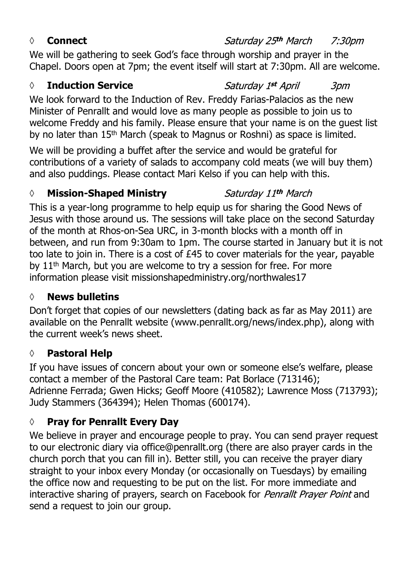#### *◊* **Connect**

We will be gathering to seek God's face through worship and prayer in the Chapel. Doors open at 7pm; the event itself will start at 7:30pm. All are welcome.

#### *◊* **Induction Service**

We look forward to the Induction of Rev. Freddy Farias-Palacios as the new Minister of Penrallt and would love as many people as possible to join us to welcome Freddy and his family. Please ensure that your name is on the guest list by no later than 15th March (speak to Magnus or Roshni) as space is limited.

We will be providing a buffet after the service and would be grateful for contributions of a variety of salads to accompany cold meats (we will buy them) and also puddings. Please contact Mari Kelso if you can help with this.

#### *◊* **Mission-Shaped Ministry**

This is a year-long programme to help equip us for sharing the Good News of Jesus with those around us. The sessions will take place on the second Saturday of the month at Rhos-on-Sea URC, in 3-month blocks with a month off in between, and run from 9:30am to 1pm. The course started in January but it is not too late to join in. There is a cost of £45 to cover materials for the year, payable by 11<sup>th</sup> March, but you are welcome to try a session for free. For more information please visit missionshapedministry.org/northwales17

#### **◊ News bulletins**

Don't forget that copies of our newsletters (dating back as far as May 2011) are available on the Penrallt website (www.penrallt.org/news/index.php), along with the current week's news sheet.

#### **◊ Pastoral Help**

If you have issues of concern about your own or someone else's welfare, please contact a member of the Pastoral Care team: Pat Borlace (713146); Adrienne Ferrada; Gwen Hicks; Geoff Moore (410582); Lawrence Moss (713793); Judy Stammers (364394); Helen Thomas (600174).

#### **◊ Pray for Penrallt Every Day**

We believe in prayer and encourage people to pray. You can send prayer request to our electronic diary via office@penrallt.org (there are also prayer cards in the church porch that you can fill in). Better still, you can receive the prayer diary straight to your inbox every Monday (or occasionally on Tuesdays) by emailing the office now and requesting to be put on the list. For more immediate and interactive sharing of prayers, search on Facebook for Penrallt Prayer Point and send a request to join our group.

#### Saturday 25th March 7:30pm

Saturday 1st April *3pm* 

Saturday 11th March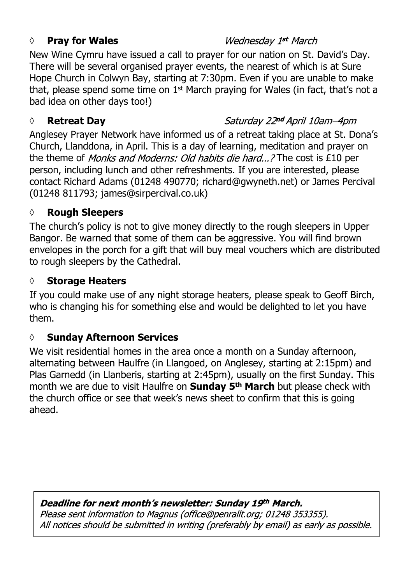#### *◊* **Pray for Wales**

#### Wednesday 1st March

New Wine Cymru have issued a call to prayer for our nation on St. David's Day. There will be several organised prayer events, the nearest of which is at Sure Hope Church in Colwyn Bay, starting at 7:30pm. Even if you are unable to make that, please spend some time on  $1<sup>st</sup>$  March praying for Wales (in fact, that's not a bad idea on other days too!)

#### *◊* **Retreat Day**

Saturday 22nd April 10am-4pm

Anglesey Prayer Network have informed us of a retreat taking place at St. Dona's Church, Llanddona, in April. This is a day of learning, meditation and prayer on the theme of Monks and Moderns: Old habits die hard...? The cost is £10 per person, including lunch and other refreshments. If you are interested, please contact Richard Adams (01248 490770; richard@gwyneth.net) or James Percival (01248 811793; james@sirpercival.co.uk)

#### **◊ Rough Sleepers**

The church's policy is not to give money directly to the rough sleepers in Upper Bangor. Be warned that some of them can be aggressive. You will find brown envelopes in the porch for a gift that will buy meal vouchers which are distributed to rough sleepers by the Cathedral.

#### **◊ Storage Heaters**

If you could make use of any night storage heaters, please speak to Geoff Birch, who is changing his for something else and would be delighted to let you have them.

#### **◊ Sunday Afternoon Services**

We visit residential homes in the area once a month on a Sunday afternoon, alternating between Haulfre (in Llangoed, on Anglesey, starting at 2:15pm) and Plas Garnedd (in Llanberis, starting at 2:45pm), usually on the first Sunday. This month we are due to visit Haulfre on **Sunday 5th March** but please check with the church office or see that week's news sheet to confirm that this is going ahead.

#### Deadline for next month's newsletter: Sunday 19th March.

Please sent information to Magnus (office@penrallt.org; 01248 353355). All notices should be submitted in writing (preferably by email) as early as possible.